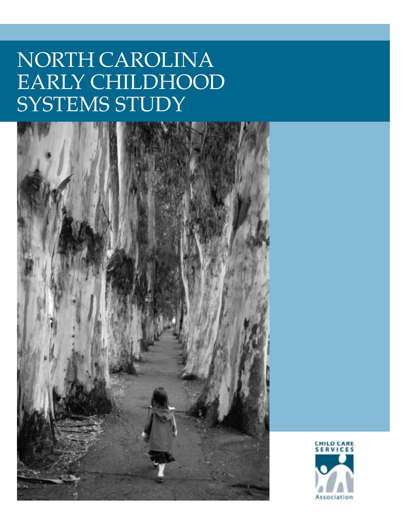# NORTH CAROLINA EARLY CHILDHOOD SYSTEMS STUDY



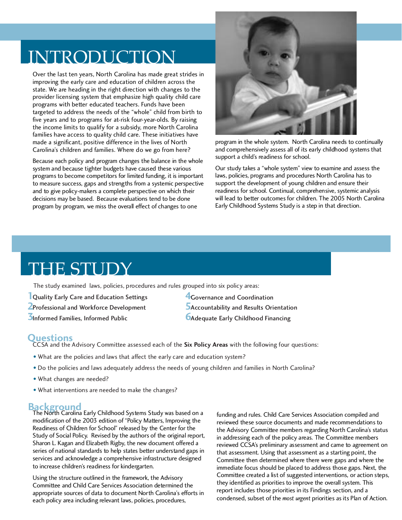### INTRODUCTION

Over the last ten years, North Carolina has made great strides in improving the early care and education of children across the state. We are heading in the right direction with changes to the provider licensing system that emphasize high quality child care programs with better educated teachers. Funds have been targeted to address the needs of the "whole" child from birth to five years and to programs for at-risk four-year-olds. By raising the income limits to qualify for a subsidy, more North Carolina families have access to quality child care. These initiatives have made a significant, positive difference in the lives of North Carolina's children and families. Where do we go from here?

Because each policy and program changes the balance in the whole system and because tighter budgets have caused these various programs to become competitors for limited funding, it is important to measure success, gaps and strengths from a systemic perspective and to give policy-makers a complete perspective on which their decisions may be based. Because evaluations tend to be done program by program, we miss the overall effect of changes to one



program in the whole system. North Carolina needs to continually and comprehensively assess all of its early childhood systems that support a child's readiness for school.

Our study takes a "whole system" view to examine and assess the laws, policies, programs and procedures North Carolina has to support the development of young children and ensure their readiness for school. Continual, comprehensive, systemic analysis will lead to better outcomes for children. The 2005 North Carolina Early Childhood Systems Study is a step in that direction.

### THE STUDY

The study examined laws, policies, procedures and rules grouped into six policy areas:

**1** Quality Early Care and Education Settings **2** Professional and Workforce Development **3** Informed Families, Informed Public

- **4** Governance and Coordination
- **5** Accountability and Results Orientation
- **6** Adequate Early Childhood Financing

### **Questions**

CCSA and the Advisory Committee assessed each of the **Six Policy Areas** with the following four questions:

- What are the policies and laws that affect the early care and education system?
- Do the policies and laws adequately address the needs of young children and families in North Carolina?
- What changes are needed?
- What interventions are needed to make the changes?

**Background** The North Carolina Early Childhood Systems Study was based on a modification of the 2003 edition of "Policy Matters, Improving the Readiness of Children for School" released by the Center for the Study of Social Policy. Revised by the authors of the original report, Sharon L. Kagan and Elizabeth Rigby, the new document offered a series of national standards to help states better understand gaps in services and acknowledge a comprehensive infrastructure designed to increase children's readiness for kindergarten.

Using the structure outlined in the framework, the Advisory Committee and Child Care Services Association determined the appropriate sources of data to document North Carolina's efforts in each policy area including relevant laws, policies, procedures,

funding and rules. Child Care Services Association compiled and reviewed these source documents and made recommendations to the Advisory Committee members regarding North Carolina's status in addressing each of the policy areas. The Committee members reviewed CCSA's preliminary assessment and came to agreement on that assessment. Using that assessment as a starting point, the Committee then determined where there were gaps and where the immediate focus should be placed to address those gaps. Next, the Committee created a list of suggested interventions, or action steps, they identified as priorities to improve the overall system. This report includes those priorities in its Findings section, and a condensed, subset of the *most urgent* priorities as its Plan of Action.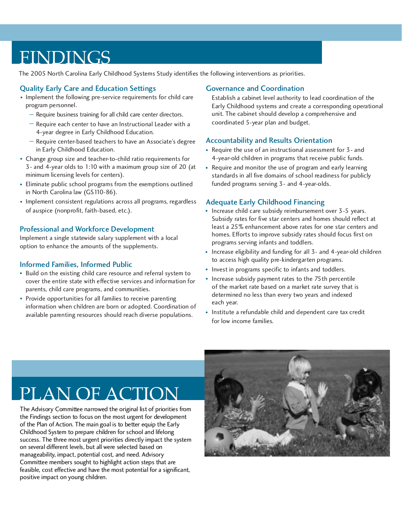### FINDINGS

The 2005 North Carolina Early Childhood Systems Study identifies the following interventions as priorities.

#### Quality Early Care and Education Settings

- Implement the following pre-service requirements for child care program personnel.
	- Require business training for all child care center directors.
	- $-$  Require each center to have an Instructional Leader with a 4-year degree in Early Childhood Education.
	- Require center-based teachers to have an Associate's degree in Early Childhood Education.
- Change group size and teacher-to-child ratio requirements for 3- and 4-year olds to 1:10 with a maximum group size of 20 (at minimum licensing levels for centers).
- Eliminate public school programs from the exemptions outlined in North Carolina law (GS110-86).
- Implement consistent regulations across all programs, regardless of auspice (nonprofit, faith-based, etc.).

#### Professional and Workforce Development

Implement a single statewide salary supplement with a local option to enhance the amounts of the supplements.

#### Informed Families, Informed Public

- Build on the existing child care resource and referral system to cover the entire state with effective services and information for parents, child care programs, and communities.
- Provide opportunities for all families to receive parenting information when children are born or adopted. Coordination of available parenting resources should reach diverse populations.

#### Governance and Coordination

Establish a cabinet level authority to lead coordination of the Early Childhood systems and create a corresponding operational unit. The cabinet should develop a comprehensive and coordinated 5-year plan and budget.

#### Accountability and Results Orientation

- Require the use of an instructional assessment for 3- and 4-year-old children in programs that receive public funds.
- Require and monitor the use of program and early learning standards in all five domains of school readiness for publicly funded programs serving 3- and 4-year-olds.

#### Adequate Early Childhood Financing

- Increase child care subsidy reimbursement over 3-5 years. Subsidy rates for five star centers and homes should reflect at least a 25% enhancement above rates for one star centers and homes. Efforts to improve subsidy rates should focus first on programs serving infants and toddlers.
- Increase eligibility and funding for all 3- and 4-year-old children to access high quality pre-kindergarten programs.
- Invest in programs specific to infants and toddlers.
- Increase subsidy payment rates to the 75th percentile of the market rate based on a market rate survey that is determined no less than every two years and indexed each year.
- Institute a refundable child and dependent care tax credit for low income families.

## PLAN OF ACTION

The Advisory Committee narrowed the original list of priorities from the Findings section to focus on the most urgent for development of the Plan of Action. The main goal is to better equip the Early Childhood System to prepare children for school and lifelong success. The three most urgent priorities directly impact the system on several different levels, but all were selected based on manageability, impact, potential cost, and need. Advisory Committee members sought to highlight action steps that are feasible, cost effective and have the most potential for a significant, positive impact on young children.

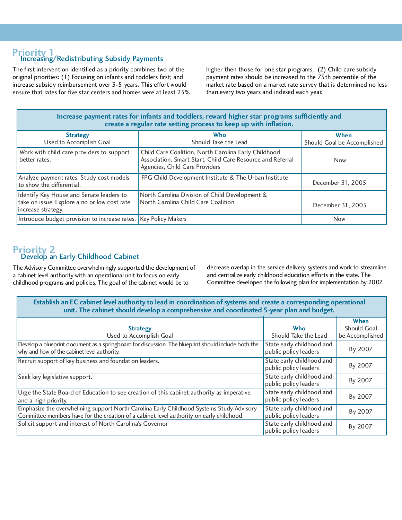### **Priority 1**<br>Increasing/Redistributing Subsidy Payments

The first intervention identified as a priority combines two of the original priorities: (1) Focusing on infants and toddlers first; and increase subsidy reimbursement over 3-5 years. This effort would ensure that rates for five star centers and homes were at least 25% higher then those for one star programs. (2) Child care subsidy payment rates should be increased to the 75th percentile of the market rate based on a market rate survey that is determined no less than every two years and indexed each year.

|                                                                  | Increase payment rates for infants and toddlers, reward higher star programs sufficiently and |  |  |
|------------------------------------------------------------------|-----------------------------------------------------------------------------------------------|--|--|
| create a regular rate setting process to keep up with inflation. |                                                                                               |  |  |

| <b>Strategy</b><br>Used to Accomplish Goal                                                                     | Who<br>Should Take the Lead                                                                                                                          | When<br>Should Goal be Accomplished |
|----------------------------------------------------------------------------------------------------------------|------------------------------------------------------------------------------------------------------------------------------------------------------|-------------------------------------|
| Work with child care providers to support<br>better rates.                                                     | Child Care Coalition, North Carolina Early Childhood<br>Association, Smart Start, Child Care Resource and Referral<br>Agencies, Child Care Providers | <b>Now</b>                          |
| Analyze payment rates. Study cost models<br>to show the differential.                                          | FPG Child Development Institute & The Urban Institute                                                                                                | December 31, 2005                   |
| Identify Key House and Senate leaders to<br>take on issue. Explore a no or low cost rate<br>increase strategy. | North Carolina Division of Child Development &<br>North Carolina Child Care Coalition                                                                | December 31, 2005                   |
| Introduce budget provision to increase rates.   Key Policy Makers                                              |                                                                                                                                                      | <b>Now</b>                          |

#### **Priority 2** Develop an Early Childhood Cabinet

The Advisory Committee overwhelmingly supported the development of a cabinet level authority with an operational unit to focus on early childhood programs and policies. The goal of the cabinet would be to

decrease overlap in the service delivery systems and work to streamline and centralize early childhood education efforts in the state. The Committee developed the following plan for implementation by 2007.

**Establish an EC cabinet level authority to lead in coordination of systems and create a corresponding operational unit. The cabinet should develop a comprehensive and coordinated 5-year plan and budget.**

|                                                                                                                                                                                      |                                                    | When            |
|--------------------------------------------------------------------------------------------------------------------------------------------------------------------------------------|----------------------------------------------------|-----------------|
| <b>Strategy</b>                                                                                                                                                                      | <b>Who</b>                                         | Should Goal     |
| Used to Accomplish Goal                                                                                                                                                              | Should Take the Lead                               | be Accomplished |
| Develop a blueprint document as a springboard for discussion. The blueprint should include both the<br>why and how of the cabinet level authority.                                   | State early childhood and<br>public policy leaders | By 2007         |
| Recruit support of key business and foundation leaders.                                                                                                                              | State early childhood and<br>public policy leaders | By 2007         |
| Seek key legislative support.                                                                                                                                                        | State early childhood and<br>public policy leaders | By 2007         |
| Urge the State Board of Education to see creation of this cabinet authority as imperative<br>and a high priority.                                                                    | State early childhood and<br>public policy leaders | By 2007         |
| Emphasize the overwhelming support North Carolina Early Childhood Systems Study Advisory<br>Committee members have for the creation of a cabinet level authority on early childhood. | State early childhood and<br>public policy leaders | By 2007         |
| Solicit support and interest of North Carolina's Governor                                                                                                                            | State early childhood and<br>public policy leaders | By 2007         |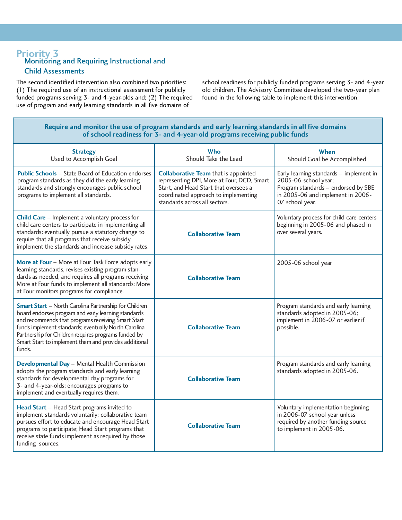#### **Priority 3 Monitoring and Requiring Instructional and** Child Assessments

The second identified intervention also combined two priorities: (1) The required use of an instructional assessment for publicly funded programs serving 3- and 4-year-olds and; (2) The required use of program and early learning standards in all five domains of

school readiness for publicly funded programs serving 3- and 4-year old children. The Advisory Committee developed the two-year plan found in the following table to implement this intervention.

#### **Require and monitor the use of program standards and early learning standards in all five domains of school readiness for 3- and 4-year-old programs receiving public funds**

| <b>Strategy</b><br>Used to Accomplish Goal                                                                                                                                                                                                                                                                                                                   | Who<br>Should Take the Lead                                                                                                                                                                                 | When<br>Should Goal be Accomplished                                                                                                                            |
|--------------------------------------------------------------------------------------------------------------------------------------------------------------------------------------------------------------------------------------------------------------------------------------------------------------------------------------------------------------|-------------------------------------------------------------------------------------------------------------------------------------------------------------------------------------------------------------|----------------------------------------------------------------------------------------------------------------------------------------------------------------|
| <b>Public Schools</b> – State Board of Education endorses<br>program standards as they did the early learning<br>standards and strongly encourages public school<br>programs to implement all standards.                                                                                                                                                     | <b>Collaborative Team that is appointed</b><br>representing DPI, More at Four, DCD, Smart<br>Start, and Head Start that oversees a<br>coordinated approach to implementing<br>standards across all sectors. | Early learning standards - implement in<br>2005-06 school year;<br>Program standards - endorsed by SBE<br>in 2005-06 and implement in 2006-<br>07 school year. |
| Child Care - Implement a voluntary process for<br>child care centers to participate in implementing all<br>standards; eventually pursue a statutory change to<br>require that all programs that receive subsidy<br>implement the standards and increase subsidy rates.                                                                                       | <b>Collaborative Team</b>                                                                                                                                                                                   | Voluntary process for child care centers<br>beginning in 2005-06 and phased in<br>over several years.                                                          |
| More at Four - More at Four Task Force adopts early<br>learning standards, revises existing program stan-<br>dards as needed, and requires all programs receiving<br>More at Four funds to implement all standards; More<br>at Four monitors programs for compliance.                                                                                        | <b>Collaborative Team</b>                                                                                                                                                                                   | 2005-06 school year                                                                                                                                            |
| <b>Smart Start - North Carolina Partnership for Children</b><br>board endorses program and early learning standards<br>and recommends that programs receiving Smart Start<br>funds implement standards; eventually North Carolina<br>Partnership for Children requires programs funded by<br>Smart Start to implement them and provides additional<br>funds. | <b>Collaborative Team</b>                                                                                                                                                                                   | Program standards and early learning<br>standards adopted in 2005-06;<br>implement in 2006-07 or earlier if<br>possible.                                       |
| Developmental Day - Mental Health Commission<br>adopts the program standards and early learning<br>standards for developmental day programs for<br>3- and 4-year-olds; encourages programs to<br>implement and eventually requires them.                                                                                                                     | <b>Collaborative Team</b>                                                                                                                                                                                   | Program standards and early learning<br>standards adopted in 2005-06.                                                                                          |
| Head Start - Head Start programs invited to<br>implement standards voluntarily; collaborative team<br>pursues effort to educate and encourage Head Start<br>programs to participate; Head Start programs that<br>receive state funds implement as required by those<br>funding sources.                                                                      | <b>Collaborative Team</b>                                                                                                                                                                                   | Voluntary implementation beginning<br>in 2006-07 school year unless<br>required by another funding source<br>to implement in 2005-06.                          |